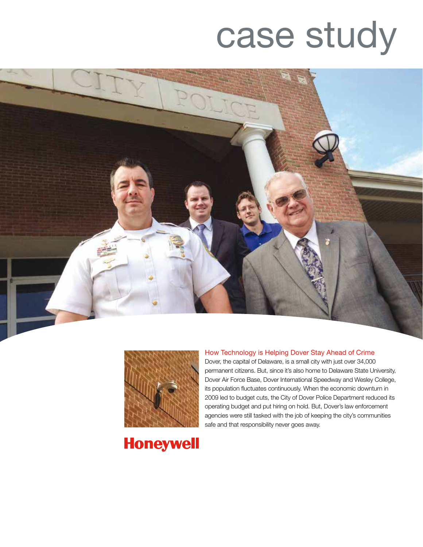# case study





#### How Technology is Helping Dover Stay Ahead of Crime

Dover, the capital of Delaware, is a small city with just over 34,000 permanent citizens. But, since it's also home to Delaware State University, Dover Air Force Base, Dover International Speedway and Wesley College, its population fluctuates continuously. When the economic downturn in 2009 led to budget cuts, the City of Dover Police Department reduced its operating budget and put hiring on hold. But, Dover's law enforcement agencies were still tasked with the job of keeping the city's communities safe and that responsibility never goes away.

# **Honeywell**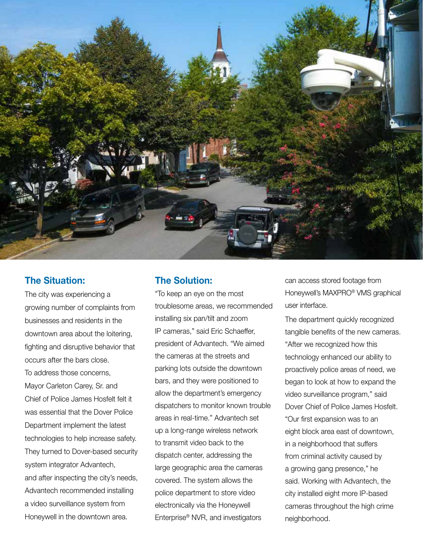

## The Situation:

The city was experiencing a growing number of complaints from businesses and residents in the downtown area about the loitering, fighting and disruptive behavior that occurs after the bars close. To address those concerns, Mayor Carleton Carey, Sr. and Chief of Police James Hosfelt felt it was essential that the Dover Police Department implement the latest technologies to help increase safety. They turned to Dover-based security system integrator Advantech, and after inspecting the city's needs, Advantech recommended installing a video surveillance system from Honeywell in the downtown area.

## The Solution:

"To keep an eye on the most troublesome areas, we recommended installing six pan/tilt and zoom IP cameras," said Eric Schaeffer, president of Advantech. "We aimed the cameras at the streets and parking lots outside the downtown bars, and they were positioned to allow the department's emergency dispatchers to monitor known trouble areas in real-time." Advantech set up a long-range wireless network to transmit video back to the dispatch center, addressing the large geographic area the cameras covered. The system allows the police department to store video electronically via the Honeywell Enterprise® NVR, and investigators

can access stored footage from Honeywell's MAXPRO® VMS graphical user interface.

The department quickly recognized tangible benefits of the new cameras. "After we recognized how this technology enhanced our ability to proactively police areas of need, we began to look at how to expand the video surveillance program," said Dover Chief of Police James Hosfelt. "Our first expansion was to an eight block area east of downtown, in a neighborhood that suffers from criminal activity caused by a growing gang presence," he said. Working with Advantech, the city installed eight more IP-based cameras throughout the high crime neighborhood.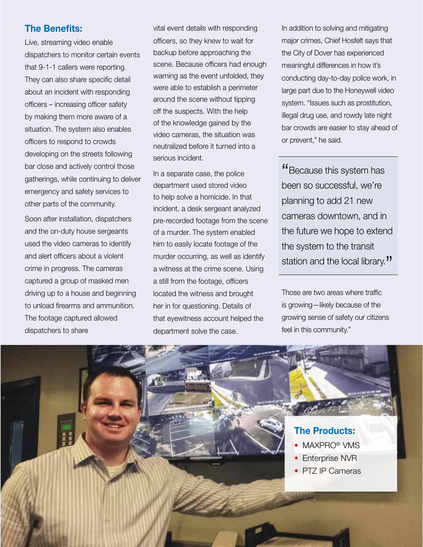# The Benefits:

Live, streaming video enable dispatchers to monitor certain events that 9-1-1 callers were reporting. They can also share specific detail about an incident with responding officers – increasing officer safety by making them more aware of a situation. The system also enables officers to respond to crowds developing on the streets following bar close and actively control those gatherings, while continuing to deliver emergency and safety services to other parts of the community.

Soon after installation, dispatchers and the on-duty house sergeants used the video cameras to identify and alert officers about a violent crime in progress. The cameras captured a group of masked men driving up to a house and beginning to unload firearms and ammunition. The footage captured allowed dispatchers to share

vital event details with responding officers, so they knew to wait for backup before approaching the scene. Because officers had enough warning as the event unfolded, they were able to establish a perimeter around the scene without tipping off the suspects. With the help of the knowledge gained by the video cameras, the situation was neutralized before it turned into a serious incident.

In a separate case, the police department used stored video to help solve a homicide. In that incident, a desk sergeant analyzed pre-recorded footage from the scene of a murder. The system enabled him to easily locate footage of the murder occurring, as well as identify a witness at the crime scene. Using a still from the footage, officers located the witness and brought her in for questioning. Details of that eyewitness account helped the department solve the case.

In addition to solving and mitigating major crimes, Chief Hosfelt says that the City of Dover has experienced meaningful differences in how it's conducting day-to-day police work, in large part due to the Honeywell video system. "Issues such as prostitution, illegal drug use, and rowdy late night bar crowds are easier to stay ahead of or prevent," he said.

"Because this system has been so successful, we're planning to add 21 new cameras downtown, and in the future we hope to extend the system to the transit station and the local library."

Those are two areas where traffic is growing—likely because of the growing sense of safety our citizens feel in this community."